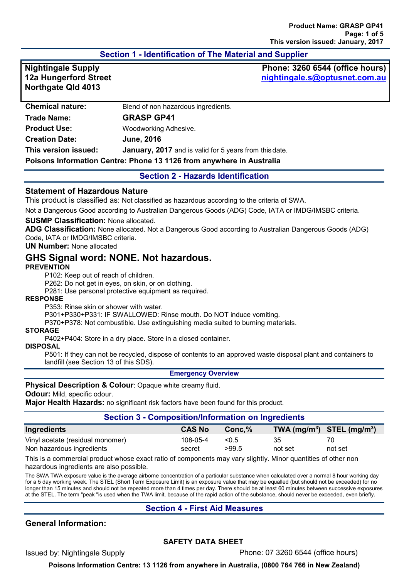# **Section 1 - Identification of The Material and Supplier**

**12a Hungerford Street Northgate Qld 4013**

**Nightingale Supply Phone: 3260 6544 (office hours) [nightingale.s@optusnet.com.au](mailto:nightingale.s@optusnet.com.au)**

| <b>Chemical nature:</b>                                              | Blend of non hazardous ingredients.                    |  |
|----------------------------------------------------------------------|--------------------------------------------------------|--|
| <b>Trade Name:</b>                                                   | <b>GRASP GP41</b>                                      |  |
| <b>Product Use:</b>                                                  | Woodworking Adhesive.                                  |  |
| <b>Creation Date:</b>                                                | <b>June, 2016</b>                                      |  |
| This version issued:                                                 | January, 2017 and is valid for 5 years from this date. |  |
| Poisons Information Centre: Phone 13 1126 from anywhere in Australia |                                                        |  |

## **Section 2 - Hazards Identification**

## **Statement of Hazardous Nature**

This product is classified as: Not classified as hazardous according to the criteria of SWA.

Not a Dangerous Good according to Australian Dangerous Goods (ADG) Code, IATA or IMDG/IMSBC criteria.

#### **SUSMP Classification:** None allocated.

**ADG Classification:** None allocated. Not a Dangerous Good according to Australian Dangerous Goods (ADG) Code, IATA or IMDG/IMSBC criteria.

## **UN Number:** None allocated

# **GHS Signal word: NONE. Not hazardous.**

#### **PREVENTION**

P102: Keep out of reach of children.

P262: Do not get in eyes, on skin, or on clothing.

P281: Use personal protective equipment as required.

#### **RESPONSE**

P353: Rinse skin or shower with water.

P301+P330+P331: IF SWALLOWED: Rinse mouth. Do NOT induce vomiting.

P370+P378: Not combustible. Use extinguishing media suited to burning materials.

#### **STORAGE**

P402+P404: Store in a dry place. Store in a closed container.

#### **DISPOSAL**

P501: If they can not be recycled, dispose of contents to an approved waste disposal plant and containers to landfill (see Section 13 of this SDS).

#### **Emergency Overview**

**Physical Description & Colour: Opaque white creamy fluid.** 

**Odour:** Mild, specific odour.

**Major Health Hazards:** no significant risk factors have been found for this product.

#### **Section 3 - Composition/Information on Ingredients**

| Ingredients                      | <b>CAS No</b> | $Conc.$ % |         | $\mathbf{TWA}$ (mg/m <sup>3</sup> ) STEL (mg/m <sup>3</sup> ) |
|----------------------------------|---------------|-----------|---------|---------------------------------------------------------------|
| Vinyl acetate (residual monomer) | 108-05-4      | < 0.5     | 35      | 70                                                            |
| Non hazardous ingredients        | secret        | >99.5     | not set | not set                                                       |

This is a commercial product whose exact ratio of components may vary slightly. Minor quantities of other non hazardous ingredients are also possible.

The SWA TWA exposure value is the average airborne concentration of a particular substance when calculated over a normal 8 hour working day for a 5 day working week. The STEL (Short Term Exposure Limit) is an exposure value that may be equalled (but should not be exceeded) for no longer than 15 minutes and should not be repeated more than 4 times per day. There should be at least 60 minutes between successive exposures at the STEL. The term "peak "is used when the TWA limit, because of the rapid action of the substance, should never be exceeded, even briefly.

## **Section 4 - First Aid Measures**

# **General Information:**

## **SAFETY DATA SHEET**

Issued by: Nightingale Supply Phone: 07 3260 6544 (office hours)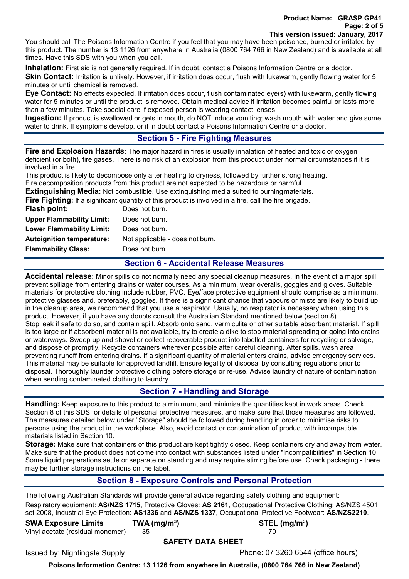You should call The Poisons Information Centre if you feel that you may have been poisoned, burned or irritated by this product. The number is 13 1126 from anywhere in Australia (0800 764 766 in New Zealand) and is available at all times. Have this SDS with you when you call.

**Inhalation:** First aid is not generally required. If in doubt, contact a Poisons Information Centre or a doctor. **Skin Contact:** Irritation is unlikely. However, if irritation does occur, flush with lukewarm, gently flowing water for 5 minutes or until chemical is removed.

**Eye Contact:** No effects expected. If irritation does occur, flush contaminated eye(s) with lukewarm, gently flowing water for 5 minutes or until the product is removed. Obtain medical advice if irritation becomes painful or lasts more than a few minutes. Take special care if exposed person is wearing contact lenses.

**Ingestion:** If product is swallowed or gets in mouth, do NOT induce vomiting; wash mouth with water and give some water to drink. If symptoms develop, or if in doubt contact a Poisons Information Centre or a doctor.

# **Section 5 - Fire Fighting Measures**

**Fire and Explosion Hazards**: The major hazard in fires is usually inhalation of heated and toxic or oxygen deficient (or both), fire gases. There is no risk of an explosion from this product under normal circumstances if it is involved in a fire.

This product is likely to decompose only after heating to dryness, followed by further strong heating. Fire decomposition products from this product are not expected to be hazardous or harmful.

**Extinguishing Media:** Not combustible. Use extinguishing media suited to burningmaterials.

**Fire Fighting:** If a significant quantity of this product is involved in a fire, call the fire brigade.

| Flash point:                     | Does not burn.                  |
|----------------------------------|---------------------------------|
| <b>Upper Flammability Limit:</b> | Does not burn.                  |
| <b>Lower Flammability Limit:</b> | Does not burn.                  |
| <b>Autoignition temperature:</b> | Not applicable - does not burn. |
| <b>Flammability Class:</b>       | Does not burn.                  |
|                                  |                                 |

# **Section 6 - Accidental Release Measures**

**Accidental release:** Minor spills do not normally need any special cleanup measures. In the event of a major spill, prevent spillage from entering drains or water courses. As a minimum, wear overalls, goggles and gloves. Suitable materials for protective clothing include rubber, PVC. Eye/face protective equipment should comprise as a minimum, protective glasses and, preferably, goggles. If there is a significant chance that vapours or mists are likely to build up in the cleanup area, we recommend that you use a respirator. Usually, no respirator is necessary when using this product. However, if you have any doubts consult the Australian Standard mentioned below (section 8). Stop leak if safe to do so, and contain spill. Absorb onto sand, vermiculite or other suitable absorbent material. If spill is too large or if absorbent material is not available, try to create a dike to stop material spreading or going into drains or waterways. Sweep up and shovel or collect recoverable product into labelled containers for recycling or salvage, and dispose of promptly. Recycle containers wherever possible after careful cleaning. After spills, wash area preventing runoff from entering drains. If a significant quantity of material enters drains, advise emergency services. This material may be suitable for approved landfill. Ensure legality of disposal by consulting regulations prior to disposal. Thoroughly launder protective clothing before storage or re-use. Advise laundry of nature of contamination when sending contaminated clothing to laundry.

# **Section 7 - Handling and Storage**

**Handling:** Keep exposure to this product to a minimum, and minimise the quantities kept in work areas. Check Section 8 of this SDS for details of personal protective measures, and make sure that those measures are followed. The measures detailed below under "Storage" should be followed during handling in order to minimise risks to persons using the product in the workplace. Also, avoid contact or contamination of product with incompatible materials listed in Section 10.

**Storage:** Make sure that containers of this product are kept tightly closed. Keep containers dry and away from water. Make sure that the product does not come into contact with substances listed under "Incompatibilities" in Section 10. Some liquid preparations settle or separate on standing and may require stirring before use. Check packaging - there may be further storage instructions on the label.

# **Section 8 - Exposure Controls and Personal Protection**

The following Australian Standards will provide general advice regarding safety clothing and equipment: Respiratory equipment: **AS/NZS 1715**, Protective Gloves: **AS 2161**, Occupational Protective Clothing: AS/NZS 4501 set 2008, Industrial Eye Protection: **AS1336** and **AS/NZS 1337**, Occupational Protective Footwear: **AS/NZS2210**.

**SWA Exposure Limits TWA (mg/m3**

Vinyl acetate (residual monomer) 35 70

**) STEL (mg/m3 )**

**SAFETY DATA SHEET**

Issued by: Nightingale Supply Phone: 07 3260 6544 (office hours)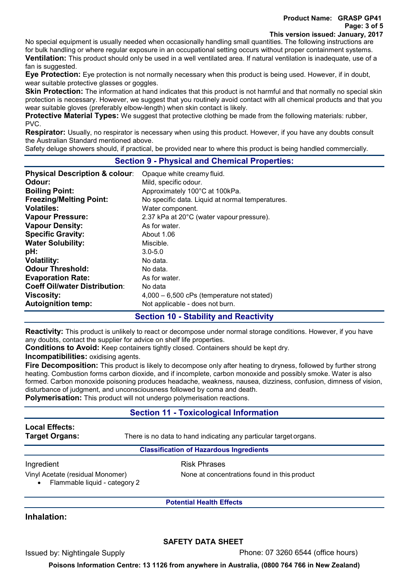No special equipment is usually needed when occasionally handling small quantities. The following instructions are for bulk handling or where regular exposure in an occupational setting occurs without proper containment systems.

**Ventilation:** This product should only be used in a well ventilated area. If natural ventilation is inadequate, use of a fan is suggested.

**Eye Protection:** Eye protection is not normally necessary when this product is being used. However, if in doubt, wear suitable protective glasses or goggles.

**Skin Protection:** The information at hand indicates that this product is not harmful and that normally no special skin protection is necessary. However, we suggest that you routinely avoid contact with all chemical products and that you wear suitable gloves (preferably elbow-length) when skin contact is likely.

**Protective Material Types:** We suggest that protective clothing be made from the following materials: rubber, PVC.

**Respirator:** Usually, no respirator is necessary when using this product. However, if you have any doubts consult the Australian Standard mentioned above.

Safety deluge showers should, if practical, be provided near to where this product is being handled commercially.

# **Section 9 - Physical and Chemical Properties:**

| <b>Physical Description &amp; colour:</b> | Opaque white creamy fluid.                       |
|-------------------------------------------|--------------------------------------------------|
| Odour:                                    | Mild, specific odour.                            |
| <b>Boiling Point:</b>                     | Approximately 100°C at 100kPa.                   |
| <b>Freezing/Melting Point:</b>            | No specific data. Liquid at normal temperatures. |
| <b>Volatiles:</b>                         | Water component.                                 |
| <b>Vapour Pressure:</b>                   | 2.37 kPa at 20°C (water vapour pressure).        |
| <b>Vapour Density:</b>                    | As for water.                                    |
| <b>Specific Gravity:</b>                  | About 1.06                                       |
| <b>Water Solubility:</b>                  | Miscible.                                        |
| pH:                                       | $3.0 - 5.0$                                      |
| <b>Volatility:</b>                        | No data.                                         |
| <b>Odour Threshold:</b>                   | No data.                                         |
| <b>Evaporation Rate:</b>                  | As for water.                                    |
| <b>Coeff Oil/water Distribution:</b>      | No data                                          |
| <b>Viscosity:</b>                         | $4,000 - 6,500$ cPs (temperature not stated)     |
| <b>Autoignition temp:</b>                 | Not applicable - does not burn.                  |

# **Section 10 - Stability and Reactivity**

**Reactivity:** This product is unlikely to react or decompose under normal storage conditions. However, if you have any doubts, contact the supplier for advice on shelf life properties.

**Conditions to Avoid:** Keep containers tightly closed. Containers should be kept dry.

**Incompatibilities:** oxidising agents.

**Fire Decomposition:** This product is likely to decompose only after heating to dryness, followed by further strong heating. Combustion forms carbon dioxide, and if incomplete, carbon monoxide and possibly smoke. Water is also formed. Carbon monoxide poisoning produces headache, weakness, nausea, dizziness, confusion, dimness of vision, disturbance of judgment, and unconsciousness followed by coma and death.

**Polymerisation:** This product will not undergo polymerisation reactions.

# **Section 11 - Toxicological Information**

# **Local Effects:**

**Target Organs:** There is no data to hand indicating any particular target organs.

## **Classification of Hazardous Ingredients**

## Ingredient **Risk Phrases**

Vinyl Acetate (residual Monomer) None at concentrations found in this product

• Flammable liquid - category 2

**Potential Health Effects**

## **Inhalation:**

## **SAFETY DATA SHEET**

Issued by: Nightingale Supply Phone: 07 3260 6544 (office hours)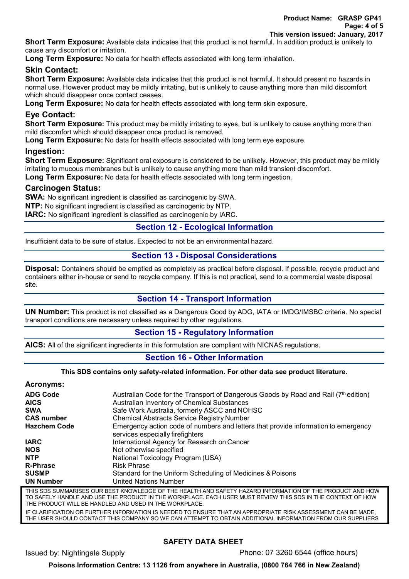**Product Name: GRASP GP41 Page: 4 of 5 This version issued: January, 2017**

**Short Term Exposure:** Available data indicates that this product is not harmful. In addition product is unlikely to cause any discomfort or irritation.

**Long Term Exposure:** No data for health effects associated with long term inhalation.

## **Skin Contact:**

**Short Term Exposure:** Available data indicates that this product is not harmful. It should present no hazards in normal use. However product may be mildly irritating, but is unlikely to cause anything more than mild discomfort which should disappear once contact ceases.

**Long Term Exposure:** No data for health effects associated with long term skin exposure.

## **Eye Contact:**

**Short Term Exposure:** This product may be mildly irritating to eyes, but is unlikely to cause anything more than mild discomfort which should disappear once product is removed.

**Long Term Exposure:** No data for health effects associated with long term eye exposure.

## **Ingestion:**

**Short Term Exposure:** Significant oral exposure is considered to be unlikely. However, this product may be mildly irritating to mucous membranes but is unlikely to cause anything more than mild transient discomfort. **Long Term Exposure:** No data for health effects associated with long term ingestion.

# **Carcinogen Status:**

**SWA:** No significant ingredient is classified as carcinogenic by SWA.

**NTP:** No significant ingredient is classified as carcinogenic by NTP.

**IARC:** No significant ingredient is classified as carcinogenic by IARC.

## **Section 12 - Ecological Information**

Insufficient data to be sure of status. Expected to not be an environmental hazard.

# **Section 13 - Disposal Considerations**

**Disposal:** Containers should be emptied as completely as practical before disposal. If possible, recycle product and containers either in-house or send to recycle company. If this is not practical, send to a commercial waste disposal site.

## **Section 14 - Transport Information**

**UN Number:** This product is not classified as a Dangerous Good by ADG, IATA or IMDG/IMSBC criteria. No special transport conditions are necessary unless required by other regulations.

## **Section 15 - Regulatory Information**

**AICS:** All of the significant ingredients in this formulation are compliant with NICNAS regulations.

## **Section 16 - Other Information**

#### **This SDS contains only safety-related information. For other data see product literature.**

## **Acronyms:**

| <b>ADG Code</b><br><b>AICS</b> | Australian Code for the Transport of Dangerous Goods by Road and Rail (7 <sup>th</sup> edition)<br>Australian Inventory of Chemical Substances |
|--------------------------------|------------------------------------------------------------------------------------------------------------------------------------------------|
|                                |                                                                                                                                                |
| <b>SWA</b>                     | Safe Work Australia, formerly ASCC and NOHSC                                                                                                   |
| <b>CAS number</b>              | <b>Chemical Abstracts Service Registry Number</b>                                                                                              |
| <b>Hazchem Code</b>            | Emergency action code of numbers and letters that provide information to emergency<br>services especially firefighters                         |
| <b>IARC</b>                    | International Agency for Research on Cancer                                                                                                    |
| <b>NOS</b>                     | Not otherwise specified                                                                                                                        |
| <b>NTP</b>                     | National Toxicology Program (USA)                                                                                                              |
| <b>R-Phrase</b>                | <b>Risk Phrase</b>                                                                                                                             |
| <b>SUSMP</b>                   | Standard for the Uniform Scheduling of Medicines & Poisons                                                                                     |
| <b>UN Number</b>               | <b>United Nations Number</b>                                                                                                                   |

THIS SDS SUMMARISES OUR BEST KNOWLEDGE OF THE HEALTH AND SAFETY HAZARD INFORMATION OF THE PRODUCT AND HOW TO SAFELY HANDLE AND USE THE PRODUCT IN THE WORKPLACE. EACH USER MUST REVIEW THIS SDS IN THE CONTEXT OF HOW THE PRODUCT WILL BE HANDLED AND USED IN THE WORKPLACE.

IF CLARIFICATION OR FURTHER INFORMATION IS NEEDED TO ENSURE THAT AN APPROPRIATE RISK ASSESSMENT CAN BE MADE, THE USER SHOULD CONTACT THIS COMPANY SO WE CAN ATTEMPT TO OBTAIN ADDITIONAL INFORMATION FROM OUR SUPPLIERS

## **SAFETY DATA SHEET**

Issued by: Nightingale Supply Phone: 07 3260 6544 (office hours)